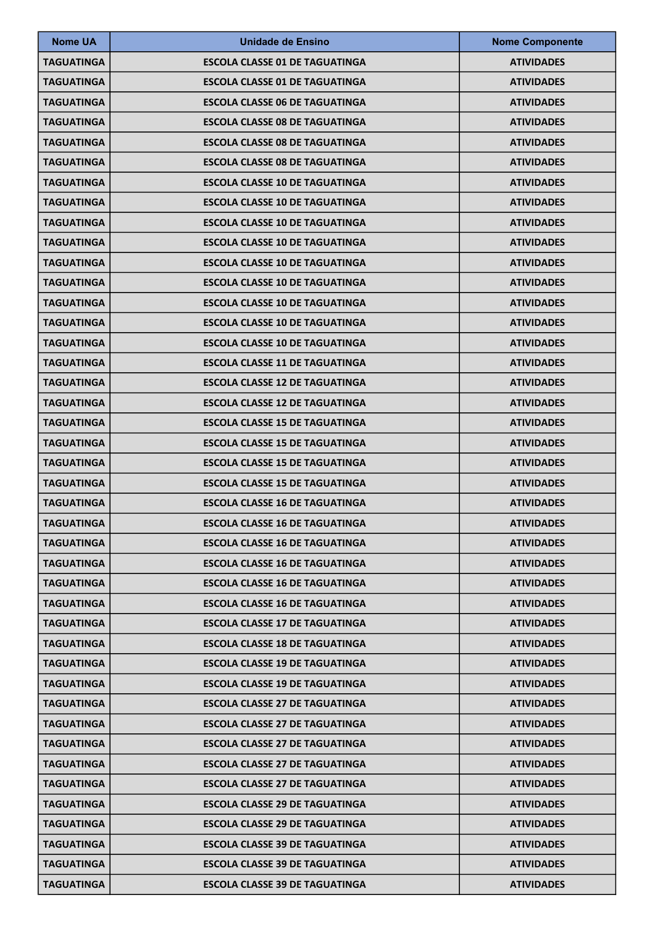| <b>Nome UA</b>    | <b>Unidade de Ensino</b>              | <b>Nome Componente</b> |
|-------------------|---------------------------------------|------------------------|
| <b>TAGUATINGA</b> | <b>ESCOLA CLASSE 01 DE TAGUATINGA</b> | <b>ATIVIDADES</b>      |
| <b>TAGUATINGA</b> | <b>ESCOLA CLASSE 01 DE TAGUATINGA</b> | <b>ATIVIDADES</b>      |
| <b>TAGUATINGA</b> | <b>ESCOLA CLASSE 06 DE TAGUATINGA</b> | <b>ATIVIDADES</b>      |
| <b>TAGUATINGA</b> | <b>ESCOLA CLASSE 08 DE TAGUATINGA</b> | <b>ATIVIDADES</b>      |
| <b>TAGUATINGA</b> | <b>ESCOLA CLASSE 08 DE TAGUATINGA</b> | <b>ATIVIDADES</b>      |
| <b>TAGUATINGA</b> | <b>ESCOLA CLASSE 08 DE TAGUATINGA</b> | <b>ATIVIDADES</b>      |
| <b>TAGUATINGA</b> | <b>ESCOLA CLASSE 10 DE TAGUATINGA</b> | <b>ATIVIDADES</b>      |
| <b>TAGUATINGA</b> | <b>ESCOLA CLASSE 10 DE TAGUATINGA</b> | <b>ATIVIDADES</b>      |
| <b>TAGUATINGA</b> | <b>ESCOLA CLASSE 10 DE TAGUATINGA</b> | <b>ATIVIDADES</b>      |
| <b>TAGUATINGA</b> | <b>ESCOLA CLASSE 10 DE TAGUATINGA</b> | <b>ATIVIDADES</b>      |
| <b>TAGUATINGA</b> | <b>ESCOLA CLASSE 10 DE TAGUATINGA</b> | <b>ATIVIDADES</b>      |
| <b>TAGUATINGA</b> | <b>ESCOLA CLASSE 10 DE TAGUATINGA</b> | <b>ATIVIDADES</b>      |
| <b>TAGUATINGA</b> | <b>ESCOLA CLASSE 10 DE TAGUATINGA</b> | <b>ATIVIDADES</b>      |
| <b>TAGUATINGA</b> | <b>ESCOLA CLASSE 10 DE TAGUATINGA</b> | <b>ATIVIDADES</b>      |
| <b>TAGUATINGA</b> | <b>ESCOLA CLASSE 10 DE TAGUATINGA</b> | <b>ATIVIDADES</b>      |
| <b>TAGUATINGA</b> | <b>ESCOLA CLASSE 11 DE TAGUATINGA</b> | <b>ATIVIDADES</b>      |
| <b>TAGUATINGA</b> | <b>ESCOLA CLASSE 12 DE TAGUATINGA</b> | <b>ATIVIDADES</b>      |
| <b>TAGUATINGA</b> | <b>ESCOLA CLASSE 12 DE TAGUATINGA</b> | <b>ATIVIDADES</b>      |
| <b>TAGUATINGA</b> | <b>ESCOLA CLASSE 15 DE TAGUATINGA</b> | <b>ATIVIDADES</b>      |
| <b>TAGUATINGA</b> | <b>ESCOLA CLASSE 15 DE TAGUATINGA</b> | <b>ATIVIDADES</b>      |
| <b>TAGUATINGA</b> | <b>ESCOLA CLASSE 15 DE TAGUATINGA</b> | <b>ATIVIDADES</b>      |
| <b>TAGUATINGA</b> | <b>ESCOLA CLASSE 15 DE TAGUATINGA</b> | <b>ATIVIDADES</b>      |
| <b>TAGUATINGA</b> | <b>ESCOLA CLASSE 16 DE TAGUATINGA</b> | <b>ATIVIDADES</b>      |
| <b>TAGUATINGA</b> | <b>ESCOLA CLASSE 16 DE TAGUATINGA</b> | <b>ATIVIDADES</b>      |
| <b>TAGUATINGA</b> | <b>ESCOLA CLASSE 16 DE TAGUATINGA</b> | <b>ATIVIDADES</b>      |
| <b>TAGUATINGA</b> | <b>ESCOLA CLASSE 16 DE TAGUATINGA</b> | <b>ATIVIDADES</b>      |
| <b>TAGUATINGA</b> | <b>ESCOLA CLASSE 16 DE TAGUATINGA</b> | <b>ATIVIDADES</b>      |
| <b>TAGUATINGA</b> | <b>ESCOLA CLASSE 16 DE TAGUATINGA</b> | <b>ATIVIDADES</b>      |
| <b>TAGUATINGA</b> | <b>ESCOLA CLASSE 17 DE TAGUATINGA</b> | <b>ATIVIDADES</b>      |
| <b>TAGUATINGA</b> | <b>ESCOLA CLASSE 18 DE TAGUATINGA</b> | <b>ATIVIDADES</b>      |
| <b>TAGUATINGA</b> | <b>ESCOLA CLASSE 19 DE TAGUATINGA</b> | <b>ATIVIDADES</b>      |
| <b>TAGUATINGA</b> | <b>ESCOLA CLASSE 19 DE TAGUATINGA</b> | <b>ATIVIDADES</b>      |
| <b>TAGUATINGA</b> | <b>ESCOLA CLASSE 27 DE TAGUATINGA</b> | <b>ATIVIDADES</b>      |
| <b>TAGUATINGA</b> | <b>ESCOLA CLASSE 27 DE TAGUATINGA</b> | <b>ATIVIDADES</b>      |
| <b>TAGUATINGA</b> | <b>ESCOLA CLASSE 27 DE TAGUATINGA</b> | <b>ATIVIDADES</b>      |
| <b>TAGUATINGA</b> | <b>ESCOLA CLASSE 27 DE TAGUATINGA</b> | <b>ATIVIDADES</b>      |
| <b>TAGUATINGA</b> | <b>ESCOLA CLASSE 27 DE TAGUATINGA</b> | <b>ATIVIDADES</b>      |
| TAGUATINGA        | ESCOLA CLASSE 29 DE TAGUATINGA        | <b>ATIVIDADES</b>      |
| <b>TAGUATINGA</b> | <b>ESCOLA CLASSE 29 DE TAGUATINGA</b> | <b>ATIVIDADES</b>      |
| <b>TAGUATINGA</b> | <b>ESCOLA CLASSE 39 DE TAGUATINGA</b> | <b>ATIVIDADES</b>      |
| <b>TAGUATINGA</b> | <b>ESCOLA CLASSE 39 DE TAGUATINGA</b> | <b>ATIVIDADES</b>      |
| <b>TAGUATINGA</b> | <b>ESCOLA CLASSE 39 DE TAGUATINGA</b> | <b>ATIVIDADES</b>      |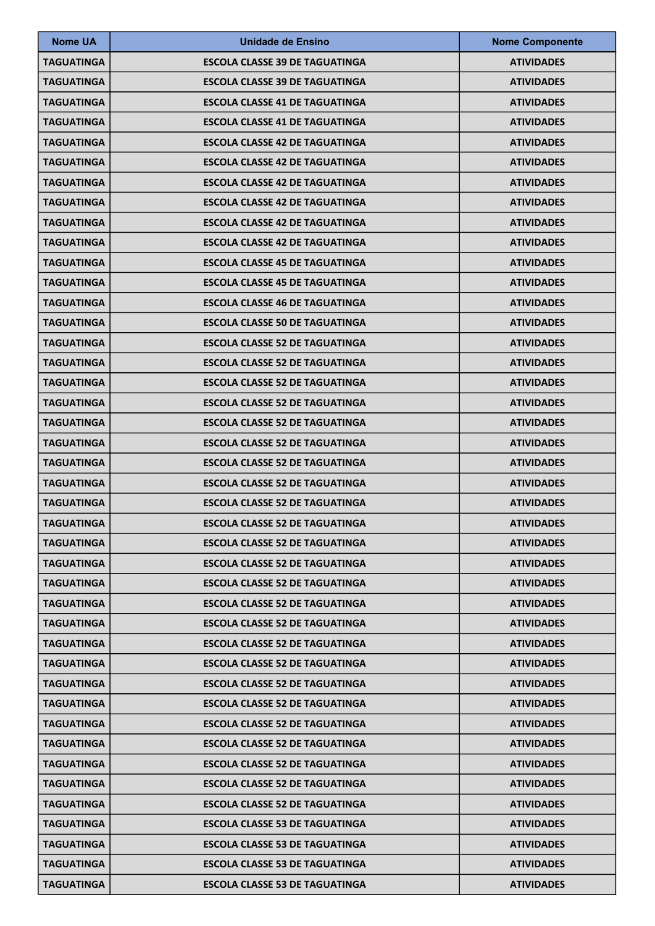| <b>Nome UA</b>    | <b>Unidade de Ensino</b>              | <b>Nome Componente</b> |
|-------------------|---------------------------------------|------------------------|
| <b>TAGUATINGA</b> | <b>ESCOLA CLASSE 39 DE TAGUATINGA</b> | <b>ATIVIDADES</b>      |
| <b>TAGUATINGA</b> | <b>ESCOLA CLASSE 39 DE TAGUATINGA</b> | <b>ATIVIDADES</b>      |
| <b>TAGUATINGA</b> | <b>ESCOLA CLASSE 41 DE TAGUATINGA</b> | <b>ATIVIDADES</b>      |
| <b>TAGUATINGA</b> | <b>ESCOLA CLASSE 41 DE TAGUATINGA</b> | <b>ATIVIDADES</b>      |
| <b>TAGUATINGA</b> | <b>ESCOLA CLASSE 42 DE TAGUATINGA</b> | <b>ATIVIDADES</b>      |
| <b>TAGUATINGA</b> | <b>ESCOLA CLASSE 42 DE TAGUATINGA</b> | <b>ATIVIDADES</b>      |
| <b>TAGUATINGA</b> | <b>ESCOLA CLASSE 42 DE TAGUATINGA</b> | <b>ATIVIDADES</b>      |
| <b>TAGUATINGA</b> | <b>ESCOLA CLASSE 42 DE TAGUATINGA</b> | <b>ATIVIDADES</b>      |
| <b>TAGUATINGA</b> | <b>ESCOLA CLASSE 42 DE TAGUATINGA</b> | <b>ATIVIDADES</b>      |
| <b>TAGUATINGA</b> | <b>ESCOLA CLASSE 42 DE TAGUATINGA</b> | <b>ATIVIDADES</b>      |
| <b>TAGUATINGA</b> | <b>ESCOLA CLASSE 45 DE TAGUATINGA</b> | <b>ATIVIDADES</b>      |
| <b>TAGUATINGA</b> | <b>ESCOLA CLASSE 45 DE TAGUATINGA</b> | <b>ATIVIDADES</b>      |
| <b>TAGUATINGA</b> | <b>ESCOLA CLASSE 46 DE TAGUATINGA</b> | <b>ATIVIDADES</b>      |
| <b>TAGUATINGA</b> | <b>ESCOLA CLASSE 50 DE TAGUATINGA</b> | <b>ATIVIDADES</b>      |
| <b>TAGUATINGA</b> | <b>ESCOLA CLASSE 52 DE TAGUATINGA</b> | <b>ATIVIDADES</b>      |
| <b>TAGUATINGA</b> | <b>ESCOLA CLASSE 52 DE TAGUATINGA</b> | <b>ATIVIDADES</b>      |
| <b>TAGUATINGA</b> | <b>ESCOLA CLASSE 52 DE TAGUATINGA</b> | <b>ATIVIDADES</b>      |
| <b>TAGUATINGA</b> | <b>ESCOLA CLASSE 52 DE TAGUATINGA</b> | <b>ATIVIDADES</b>      |
| <b>TAGUATINGA</b> | <b>ESCOLA CLASSE 52 DE TAGUATINGA</b> | <b>ATIVIDADES</b>      |
| <b>TAGUATINGA</b> | <b>ESCOLA CLASSE 52 DE TAGUATINGA</b> | <b>ATIVIDADES</b>      |
| <b>TAGUATINGA</b> | <b>ESCOLA CLASSE 52 DE TAGUATINGA</b> | <b>ATIVIDADES</b>      |
| <b>TAGUATINGA</b> | <b>ESCOLA CLASSE 52 DE TAGUATINGA</b> | <b>ATIVIDADES</b>      |
| <b>TAGUATINGA</b> | <b>ESCOLA CLASSE 52 DE TAGUATINGA</b> | <b>ATIVIDADES</b>      |
| <b>TAGUATINGA</b> | <b>ESCOLA CLASSE 52 DE TAGUATINGA</b> | <b>ATIVIDADES</b>      |
| <b>TAGUATINGA</b> | <b>ESCOLA CLASSE 52 DE TAGUATINGA</b> | <b>ATIVIDADES</b>      |
| <b>TAGUATINGA</b> | <b>ESCOLA CLASSE 52 DE TAGUATINGA</b> | <b>ATIVIDADES</b>      |
| <b>TAGUATINGA</b> | <b>ESCOLA CLASSE 52 DE TAGUATINGA</b> | <b>ATIVIDADES</b>      |
| <b>TAGUATINGA</b> | <b>ESCOLA CLASSE 52 DE TAGUATINGA</b> | <b>ATIVIDADES</b>      |
| <b>TAGUATINGA</b> | <b>ESCOLA CLASSE 52 DE TAGUATINGA</b> | <b>ATIVIDADES</b>      |
| <b>TAGUATINGA</b> | <b>ESCOLA CLASSE 52 DE TAGUATINGA</b> | <b>ATIVIDADES</b>      |
| <b>TAGUATINGA</b> | <b>ESCOLA CLASSE 52 DE TAGUATINGA</b> | <b>ATIVIDADES</b>      |
| <b>TAGUATINGA</b> | <b>ESCOLA CLASSE 52 DE TAGUATINGA</b> | <b>ATIVIDADES</b>      |
| <b>TAGUATINGA</b> | <b>ESCOLA CLASSE 52 DE TAGUATINGA</b> | <b>ATIVIDADES</b>      |
| <b>TAGUATINGA</b> | <b>ESCOLA CLASSE 52 DE TAGUATINGA</b> | <b>ATIVIDADES</b>      |
| <b>TAGUATINGA</b> | <b>ESCOLA CLASSE 52 DE TAGUATINGA</b> | <b>ATIVIDADES</b>      |
| <b>TAGUATINGA</b> | <b>ESCOLA CLASSE 52 DE TAGUATINGA</b> | <b>ATIVIDADES</b>      |
| <b>TAGUATINGA</b> | <b>ESCOLA CLASSE 52 DE TAGUATINGA</b> | <b>ATIVIDADES</b>      |
| <b>TAGUATINGA</b> | <b>ESCOLA CLASSE 52 DE TAGUATINGA</b> | <b>ATIVIDADES</b>      |
| <b>TAGUATINGA</b> | <b>ESCOLA CLASSE 53 DE TAGUATINGA</b> | <b>ATIVIDADES</b>      |
| TAGUATINGA        | ESCOLA CLASSE 53 DE TAGUATINGA        | <b>ATIVIDADES</b>      |
| <b>TAGUATINGA</b> | <b>ESCOLA CLASSE 53 DE TAGUATINGA</b> | <b>ATIVIDADES</b>      |
| <b>TAGUATINGA</b> | <b>ESCOLA CLASSE 53 DE TAGUATINGA</b> | <b>ATIVIDADES</b>      |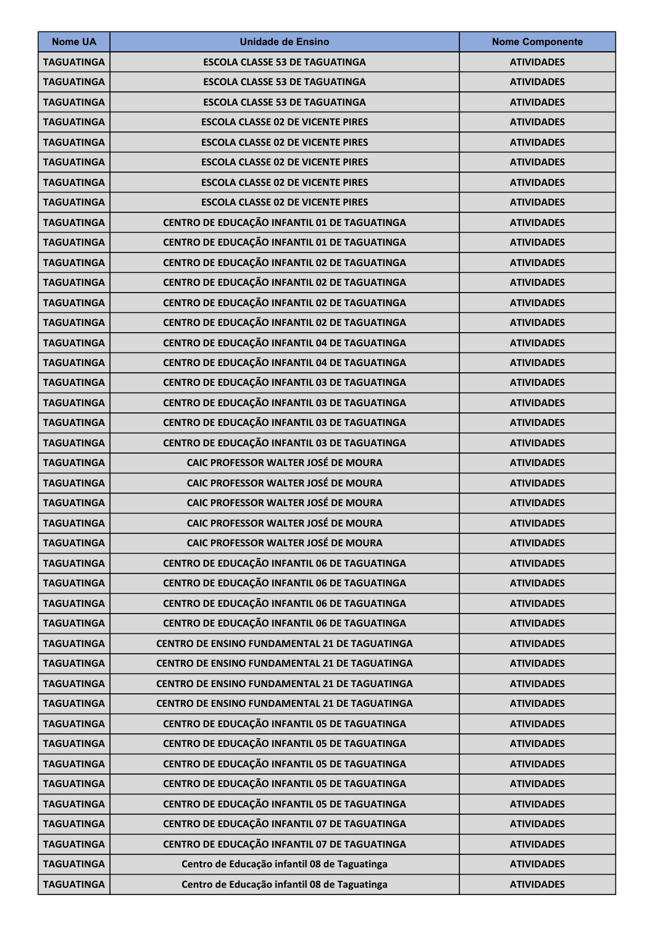| <b>Nome UA</b>    | <b>Unidade de Ensino</b>                             | <b>Nome Componente</b> |
|-------------------|------------------------------------------------------|------------------------|
| <b>TAGUATINGA</b> | <b>ESCOLA CLASSE 53 DE TAGUATINGA</b>                | <b>ATIVIDADES</b>      |
| <b>TAGUATINGA</b> | <b>ESCOLA CLASSE 53 DE TAGUATINGA</b>                | <b>ATIVIDADES</b>      |
| <b>TAGUATINGA</b> | <b>ESCOLA CLASSE 53 DE TAGUATINGA</b>                | <b>ATIVIDADES</b>      |
| <b>TAGUATINGA</b> | <b>ESCOLA CLASSE 02 DE VICENTE PIRES</b>             | <b>ATIVIDADES</b>      |
| <b>TAGUATINGA</b> | <b>ESCOLA CLASSE 02 DE VICENTE PIRES</b>             | <b>ATIVIDADES</b>      |
| <b>TAGUATINGA</b> | <b>ESCOLA CLASSE 02 DE VICENTE PIRES</b>             | <b>ATIVIDADES</b>      |
| <b>TAGUATINGA</b> | <b>ESCOLA CLASSE 02 DE VICENTE PIRES</b>             | <b>ATIVIDADES</b>      |
| <b>TAGUATINGA</b> | <b>ESCOLA CLASSE 02 DE VICENTE PIRES</b>             | <b>ATIVIDADES</b>      |
| <b>TAGUATINGA</b> | CENTRO DE EDUCAÇÃO INFANTIL 01 DE TAGUATINGA         | <b>ATIVIDADES</b>      |
| <b>TAGUATINGA</b> | CENTRO DE EDUCAÇÃO INFANTIL 01 DE TAGUATINGA         | <b>ATIVIDADES</b>      |
| <b>TAGUATINGA</b> | CENTRO DE EDUCAÇÃO INFANTIL 02 DE TAGUATINGA         | <b>ATIVIDADES</b>      |
| <b>TAGUATINGA</b> | CENTRO DE EDUCAÇÃO INFANTIL 02 DE TAGUATINGA         | <b>ATIVIDADES</b>      |
| <b>TAGUATINGA</b> | CENTRO DE EDUCAÇÃO INFANTIL 02 DE TAGUATINGA         | <b>ATIVIDADES</b>      |
| <b>TAGUATINGA</b> | CENTRO DE EDUCAÇÃO INFANTIL 02 DE TAGUATINGA         | <b>ATIVIDADES</b>      |
| <b>TAGUATINGA</b> | CENTRO DE EDUCAÇÃO INFANTIL 04 DE TAGUATINGA         | <b>ATIVIDADES</b>      |
| <b>TAGUATINGA</b> | CENTRO DE EDUCAÇÃO INFANTIL 04 DE TAGUATINGA         | <b>ATIVIDADES</b>      |
| <b>TAGUATINGA</b> | CENTRO DE EDUCAÇÃO INFANTIL 03 DE TAGUATINGA         | <b>ATIVIDADES</b>      |
| <b>TAGUATINGA</b> | CENTRO DE EDUCAÇÃO INFANTIL 03 DE TAGUATINGA         | <b>ATIVIDADES</b>      |
| <b>TAGUATINGA</b> | CENTRO DE EDUCAÇÃO INFANTIL 03 DE TAGUATINGA         | <b>ATIVIDADES</b>      |
| <b>TAGUATINGA</b> | CENTRO DE EDUCAÇÃO INFANTIL 03 DE TAGUATINGA         | <b>ATIVIDADES</b>      |
| <b>TAGUATINGA</b> | CAIC PROFESSOR WALTER JOSÉ DE MOURA                  | <b>ATIVIDADES</b>      |
| <b>TAGUATINGA</b> | CAIC PROFESSOR WALTER JOSÉ DE MOURA                  | <b>ATIVIDADES</b>      |
| <b>TAGUATINGA</b> | CAIC PROFESSOR WALTER JOSÉ DE MOURA                  | <b>ATIVIDADES</b>      |
| <b>TAGUATINGA</b> | CAIC PROFESSOR WALTER JOSÉ DE MOURA                  | <b>ATIVIDADES</b>      |
| <b>TAGUATINGA</b> | CAIC PROFESSOR WALTER JOSÉ DE MOURA                  | <b>ATIVIDADES</b>      |
| <b>TAGUATINGA</b> | CENTRO DE EDUCAÇÃO INFANTIL 06 DE TAGUATINGA         | <b>ATIVIDADES</b>      |
| <b>TAGUATINGA</b> | CENTRO DE EDUCAÇÃO INFANTIL 06 DE TAGUATINGA         | <b>ATIVIDADES</b>      |
| <b>TAGUATINGA</b> | CENTRO DE EDUCAÇÃO INFANTIL 06 DE TAGUATINGA         | <b>ATIVIDADES</b>      |
| <b>TAGUATINGA</b> | CENTRO DE EDUCAÇÃO INFANTIL 06 DE TAGUATINGA         | <b>ATIVIDADES</b>      |
| <b>TAGUATINGA</b> | CENTRO DE ENSINO FUNDAMENTAL 21 DE TAGUATINGA        | <b>ATIVIDADES</b>      |
| <b>TAGUATINGA</b> | <b>CENTRO DE ENSINO FUNDAMENTAL 21 DE TAGUATINGA</b> | <b>ATIVIDADES</b>      |
| <b>TAGUATINGA</b> | <b>CENTRO DE ENSINO FUNDAMENTAL 21 DE TAGUATINGA</b> | <b>ATIVIDADES</b>      |
| <b>TAGUATINGA</b> | <b>CENTRO DE ENSINO FUNDAMENTAL 21 DE TAGUATINGA</b> | <b>ATIVIDADES</b>      |
| <b>TAGUATINGA</b> | CENTRO DE EDUCAÇÃO INFANTIL 05 DE TAGUATINGA         | <b>ATIVIDADES</b>      |
| <b>TAGUATINGA</b> | CENTRO DE EDUCAÇÃO INFANTIL 05 DE TAGUATINGA         | <b>ATIVIDADES</b>      |
| <b>TAGUATINGA</b> | CENTRO DE EDUCAÇÃO INFANTIL 05 DE TAGUATINGA         | <b>ATIVIDADES</b>      |
| <b>TAGUATINGA</b> | CENTRO DE EDUCAÇÃO INFANTIL 05 DE TAGUATINGA         | <b>ATIVIDADES</b>      |
| <b>TAGUATINGA</b> | CENTRO DE EDUCAÇÃO INFANTIL 05 DE TAGUATINGA         | <b>ATIVIDADES</b>      |
| <b>TAGUATINGA</b> | CENTRO DE EDUCAÇÃO INFANTIL 07 DE TAGUATINGA         | <b>ATIVIDADES</b>      |
| <b>TAGUATINGA</b> | CENTRO DE EDUCAÇÃO INFANTIL 07 DE TAGUATINGA         | <b>ATIVIDADES</b>      |
| <b>TAGUATINGA</b> | Centro de Educação infantil 08 de Taguatinga         | <b>ATIVIDADES</b>      |
| <b>TAGUATINGA</b> | Centro de Educação infantil 08 de Taguatinga         | <b>ATIVIDADES</b>      |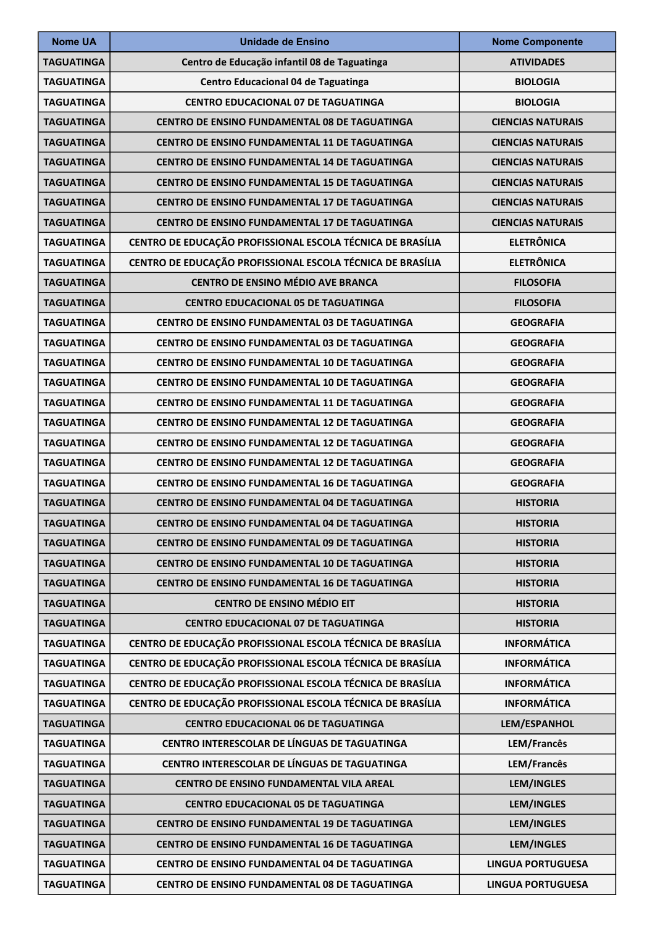| <b>Nome UA</b>    | <b>Unidade de Ensino</b>                                   | <b>Nome Componente</b>   |
|-------------------|------------------------------------------------------------|--------------------------|
| <b>TAGUATINGA</b> | Centro de Educação infantil 08 de Taguatinga               | <b>ATIVIDADES</b>        |
| <b>TAGUATINGA</b> | Centro Educacional 04 de Taguatinga                        | <b>BIOLOGIA</b>          |
| <b>TAGUATINGA</b> | <b>CENTRO EDUCACIONAL 07 DE TAGUATINGA</b>                 | <b>BIOLOGIA</b>          |
| <b>TAGUATINGA</b> | <b>CENTRO DE ENSINO FUNDAMENTAL 08 DE TAGUATINGA</b>       | <b>CIENCIAS NATURAIS</b> |
| <b>TAGUATINGA</b> | <b>CENTRO DE ENSINO FUNDAMENTAL 11 DE TAGUATINGA</b>       | <b>CIENCIAS NATURAIS</b> |
| <b>TAGUATINGA</b> | <b>CENTRO DE ENSINO FUNDAMENTAL 14 DE TAGUATINGA</b>       | <b>CIENCIAS NATURAIS</b> |
| <b>TAGUATINGA</b> | <b>CENTRO DE ENSINO FUNDAMENTAL 15 DE TAGUATINGA</b>       | <b>CIENCIAS NATURAIS</b> |
| <b>TAGUATINGA</b> | <b>CENTRO DE ENSINO FUNDAMENTAL 17 DE TAGUATINGA</b>       | <b>CIENCIAS NATURAIS</b> |
| <b>TAGUATINGA</b> | CENTRO DE ENSINO FUNDAMENTAL 17 DE TAGUATINGA              | <b>CIENCIAS NATURAIS</b> |
| <b>TAGUATINGA</b> | CENTRO DE EDUCAÇÃO PROFISSIONAL ESCOLA TÉCNICA DE BRASÍLIA | <b>ELETRÔNICA</b>        |
| <b>TAGUATINGA</b> | CENTRO DE EDUCAÇÃO PROFISSIONAL ESCOLA TÉCNICA DE BRASÍLIA | <b>ELETRÔNICA</b>        |
| <b>TAGUATINGA</b> | <b>CENTRO DE ENSINO MÉDIO AVE BRANCA</b>                   | <b>FILOSOFIA</b>         |
| <b>TAGUATINGA</b> | <b>CENTRO EDUCACIONAL 05 DE TAGUATINGA</b>                 | <b>FILOSOFIA</b>         |
| <b>TAGUATINGA</b> | CENTRO DE ENSINO FUNDAMENTAL 03 DE TAGUATINGA              | <b>GEOGRAFIA</b>         |
| <b>TAGUATINGA</b> | CENTRO DE ENSINO FUNDAMENTAL 03 DE TAGUATINGA              | <b>GEOGRAFIA</b>         |
| <b>TAGUATINGA</b> | <b>CENTRO DE ENSINO FUNDAMENTAL 10 DE TAGUATINGA</b>       | <b>GEOGRAFIA</b>         |
| <b>TAGUATINGA</b> | <b>CENTRO DE ENSINO FUNDAMENTAL 10 DE TAGUATINGA</b>       | <b>GEOGRAFIA</b>         |
| <b>TAGUATINGA</b> | <b>CENTRO DE ENSINO FUNDAMENTAL 11 DE TAGUATINGA</b>       | <b>GEOGRAFIA</b>         |
| <b>TAGUATINGA</b> | CENTRO DE ENSINO FUNDAMENTAL 12 DE TAGUATINGA              | <b>GEOGRAFIA</b>         |
| <b>TAGUATINGA</b> | CENTRO DE ENSINO FUNDAMENTAL 12 DE TAGUATINGA              | <b>GEOGRAFIA</b>         |
| <b>TAGUATINGA</b> | CENTRO DE ENSINO FUNDAMENTAL 12 DE TAGUATINGA              | <b>GEOGRAFIA</b>         |
| <b>TAGUATINGA</b> | CENTRO DE ENSINO FUNDAMENTAL 16 DE TAGUATINGA              | <b>GEOGRAFIA</b>         |
| <b>TAGUATINGA</b> | <b>CENTRO DE ENSINO FUNDAMENTAL 04 DE TAGUATINGA</b>       | <b>HISTORIA</b>          |
| <b>TAGUATINGA</b> | CENTRO DE ENSINO FUNDAMENTAL 04 DE TAGUATINGA              | <b>HISTORIA</b>          |
| <b>TAGUATINGA</b> | <b>CENTRO DE ENSINO FUNDAMENTAL 09 DE TAGUATINGA</b>       | <b>HISTORIA</b>          |
| <b>TAGUATINGA</b> | <b>CENTRO DE ENSINO FUNDAMENTAL 10 DE TAGUATINGA</b>       | <b>HISTORIA</b>          |
| <b>TAGUATINGA</b> | <b>CENTRO DE ENSINO FUNDAMENTAL 16 DE TAGUATINGA</b>       | <b>HISTORIA</b>          |
| <b>TAGUATINGA</b> | <b>CENTRO DE ENSINO MÉDIO EIT</b>                          | <b>HISTORIA</b>          |
| <b>TAGUATINGA</b> | <b>CENTRO EDUCACIONAL 07 DE TAGUATINGA</b>                 | <b>HISTORIA</b>          |
| <b>TAGUATINGA</b> | CENTRO DE EDUCAÇÃO PROFISSIONAL ESCOLA TÉCNICA DE BRASÍLIA | <b>INFORMÁTICA</b>       |
| <b>TAGUATINGA</b> | CENTRO DE EDUCAÇÃO PROFISSIONAL ESCOLA TÉCNICA DE BRASÍLIA | <b>INFORMÁTICA</b>       |
| <b>TAGUATINGA</b> | CENTRO DE EDUCAÇÃO PROFISSIONAL ESCOLA TÉCNICA DE BRASÍLIA | <b>INFORMÁTICA</b>       |
| <b>TAGUATINGA</b> | CENTRO DE EDUCAÇÃO PROFISSIONAL ESCOLA TÉCNICA DE BRASÍLIA | <b>INFORMÁTICA</b>       |
| <b>TAGUATINGA</b> | <b>CENTRO EDUCACIONAL 06 DE TAGUATINGA</b>                 | LEM/ESPANHOL             |
| <b>TAGUATINGA</b> | CENTRO INTERESCOLAR DE LÍNGUAS DE TAGUATINGA               | LEM/Francês              |
| <b>TAGUATINGA</b> | CENTRO INTERESCOLAR DE LÍNGUAS DE TAGUATINGA               | LEM/Francês              |
| <b>TAGUATINGA</b> | CENTRO DE ENSINO FUNDAMENTAL VILA AREAL                    | LEM/INGLES               |
| <b>TAGUATINGA</b> | <b>CENTRO EDUCACIONAL 05 DE TAGUATINGA</b>                 | LEM/INGLES               |
| <b>TAGUATINGA</b> | <b>CENTRO DE ENSINO FUNDAMENTAL 19 DE TAGUATINGA</b>       | LEM/INGLES               |
| <b>TAGUATINGA</b> | <b>CENTRO DE ENSINO FUNDAMENTAL 16 DE TAGUATINGA</b>       | LEM/INGLES               |
| <b>TAGUATINGA</b> | CENTRO DE ENSINO FUNDAMENTAL 04 DE TAGUATINGA              | <b>LINGUA PORTUGUESA</b> |
| <b>TAGUATINGA</b> | CENTRO DE ENSINO FUNDAMENTAL 08 DE TAGUATINGA              | <b>LINGUA PORTUGUESA</b> |